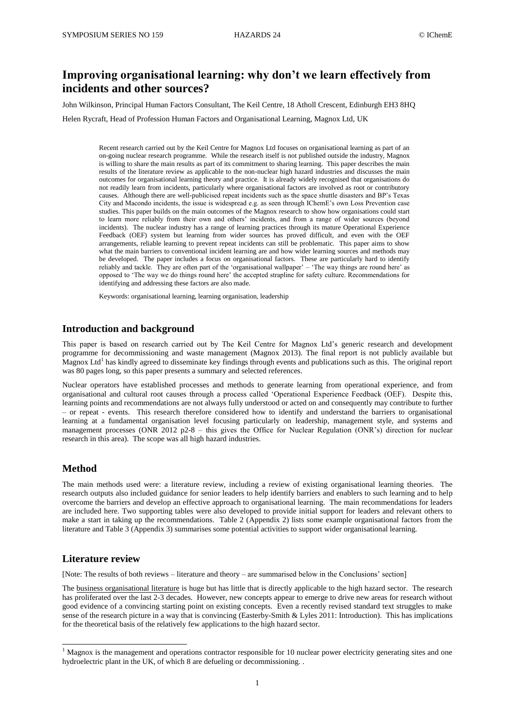# **Improving organisational learning: why don't we learn effectively from incidents and other sources?**

John Wilkinson, Principal Human Factors Consultant, The Keil Centre, 18 Atholl Crescent, Edinburgh EH3 8HQ

Helen Rycraft, Head of Profession Human Factors and Organisational Learning, Magnox Ltd, UK

Recent research carried out by the Keil Centre for Magnox Ltd focuses on organisational learning as part of an on-going nuclear research programme. While the research itself is not published outside the industry, Magnox is willing to share the main results as part of its commitment to sharing learning. This paper describes the main results of the literature review as applicable to the non-nuclear high hazard industries and discusses the main outcomes for organisational learning theory and practice. It is already widely recognised that organisations do not readily learn from incidents, particularly where organisational factors are involved as root or contributory causes. Although there are well-publicised repeat incidents such as the space shuttle disasters and BP's Texas City and Macondo incidents, the issue is widespread e.g. as seen through IChemE's own Loss Prevention case studies. This paper builds on the main outcomes of the Magnox research to show how organisations could start to learn more reliably from their own and others' incidents, and from a range of wider sources (beyond incidents). The nuclear industry has a range of learning practices through its mature Operational Experience Feedback (OEF) system but learning from wider sources has proved difficult, and even with the OEF arrangements, reliable learning to prevent repeat incidents can still be problematic. This paper aims to show what the main barriers to conventional incident learning are and how wider learning sources and methods may be developed. The paper includes a focus on organisational factors. These are particularly hard to identify reliably and tackle. They are often part of the 'organisational wallpaper' – 'The way things are round here' as opposed to 'The way we do things round here' the accepted strapline for safety culture. Recommendations for identifying and addressing these factors are also made.

Keywords: organisational learning, learning organisation, leadership

#### **Introduction and background**

This paper is based on research carried out by The Keil Centre for Magnox Ltd's generic research and development programme for decommissioning and waste management (Magnox 2013). The final report is not publicly available but Magnox Ltd<sup>1</sup> has kindly agreed to disseminate key findings through events and publications such as this. The original report was 80 pages long, so this paper presents a summary and selected references.

Nuclear operators have established processes and methods to generate learning from operational experience, and from organisational and cultural root causes through a process called 'Operational Experience Feedback (OEF). Despite this, learning points and recommendations are not always fully understood or acted on and consequently may contribute to further – or repeat - events. This research therefore considered how to identify and understand the barriers to organisational learning at a fundamental organisation level focusing particularly on leadership, management style, and systems and management processes (ONR 2012 p2-8 – this gives the Office for Nuclear Regulation (ONR's) direction for nuclear research in this area). The scope was all high hazard industries.

## **Method**

1

The main methods used were: a literature review, including a review of existing organisational learning theories. The research outputs also included guidance for senior leaders to help identify barriers and enablers to such learning and to help overcome the barriers and develop an effective approach to organisational learning. The main recommendations for leaders are included here. Two supporting tables were also developed to provide initial support for leaders and relevant others to make a start in taking up the recommendations. Table 2 (Appendix 2) lists some example organisational factors from the literature and Table 3 (Appendix 3) summarises some potential activities to support wider organisational learning.

#### **Literature review**

[Note: The results of both reviews – literature and theory – are summarised below in the Conclusions' section]

The business organisational literature is huge but has little that is directly applicable to the high hazard sector. The research has proliferated over the last 2-3 decades. However, new concepts appear to emerge to drive new areas for research without good evidence of a convincing starting point on existing concepts. Even a recently revised standard text struggles to make sense of the research picture in a way that is convincing (Easterby-Smith & Lyles 2011: Introduction). This has implications for the theoretical basis of the relatively few applications to the high hazard sector.

<sup>&</sup>lt;sup>1</sup> Magnox is the management and operations contractor responsible for 10 nuclear power electricity generating sites and one hydroelectric plant in the UK, of which 8 are defueling or decommissioning. .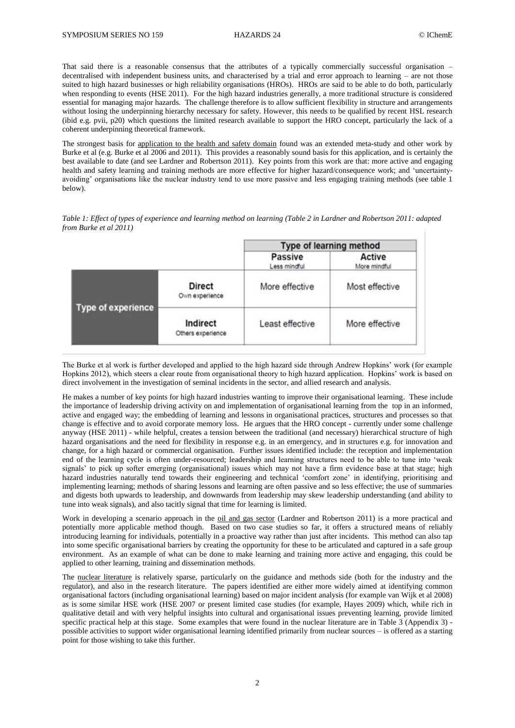That said there is a reasonable consensus that the attributes of a typically commercially successful organisation – decentralised with independent business units, and characterised by a trial and error approach to learning – are not those suited to high hazard businesses or high reliability organisations (HROs). HROs are said to be able to do both, particularly when responding to events (HSE 2011). For the high hazard industries generally, a more traditional structure is considered essential for managing major hazards. The challenge therefore is to allow sufficient flexibility in structure and arrangements without losing the underpinning hierarchy necessary for safety. However, this needs to be qualified by recent HSL research (ibid e.g. pvii, p20) which questions the limited research available to support the HRO concept, particularly the lack of a coherent underpinning theoretical framework.

The strongest basis for application to the health and safety domain found was an extended meta-study and other work by Burke et al (e.g. Burke et al 2006 and 2011). This provides a reasonably sound basis for this application, and is certainly the best available to date (and see Lardner and Robertson 2011). Key points from this work are that: more active and engaging health and safety learning and training methods are more effective for higher hazard/consequence work; and 'uncertaintyavoiding' organisations like the nuclear industry tend to use more passive and less engaging training methods (see table 1 below).

*Table 1: Effect of types of experience and learning method on learning (Table 2 in Lardner and Robertson 2011: adapted from Burke et al 2011)*

|                    |                                 | Type of learning method        |                               |
|--------------------|---------------------------------|--------------------------------|-------------------------------|
|                    |                                 | <b>Passive</b><br>Less mindful | <b>Active</b><br>More mindful |
|                    | <b>Direct</b><br>Own experience | More effective                 | Most effective                |
| Type of experience | Indirect<br>Others experience   | Least effective                | More effective                |

The Burke et al work is further developed and applied to the high hazard side through Andrew Hopkins' work (for example Hopkins 2012), which steers a clear route from organisational theory to high hazard application. Hopkins' work is based on direct involvement in the investigation of seminal incidents in the sector, and allied research and analysis.

He makes a number of key points for high hazard industries wanting to improve their organisational learning. These include the importance of leadership driving activity on and implementation of organisational learning from the top in an informed, active and engaged way; the embedding of learning and lessons in organisational practices, structures and processes so that change is effective and to avoid corporate memory loss. He argues that the HRO concept - currently under some challenge anyway (HSE 2011) - while helpful, creates a tension between the traditional (and necessary) hierarchical structure of high hazard organisations and the need for flexibility in response e.g. in an emergency, and in structures e.g. for innovation and change, for a high hazard or commercial organisation. Further issues identified include: the reception and implementation end of the learning cycle is often under-resourced; leadership and learning structures need to be able to tune into 'weak signals' to pick up softer emerging (organisational) issues which may not have a firm evidence base at that stage; high hazard industries naturally tend towards their engineering and technical 'comfort zone' in identifying, prioritising and implementing learning; methods of sharing lessons and learning are often passive and so less effective; the use of summaries and digests both upwards to leadership, and downwards from leadership may skew leadership understanding (and ability to tune into weak signals), and also tacitly signal that time for learning is limited.

Work in developing a scenario approach in the oil and gas sector (Lardner and Robertson 2011) is a more practical and potentially more applicable method though. Based on two case studies so far, it offers a structured means of reliably introducing learning for individuals, potentially in a proactive way rather than just after incidents. This method can also tap into some specific organisational barriers by creating the opportunity for these to be articulated and captured in a safe group environment. As an example of what can be done to make learning and training more active and engaging, this could be applied to other learning, training and dissemination methods.

The nuclear literature is relatively sparse, particularly on the guidance and methods side (both for the industry and the regulator), and also in the research literature. The papers identified are either more widely aimed at identifying common organisational factors (including organisational learning) based on major incident analysis (for example van Wijk et al 2008) as is some similar HSE work (HSE 2007 or present limited case studies (for example, Hayes 2009) which, while rich in qualitative detail and with very helpful insights into cultural and organisational issues preventing learning, provide limited specific practical help at this stage. Some examples that were found in the nuclear literature are in Table 3 (Appendix 3) possible activities to support wider organisational learning identified primarily from nuclear sources – is offered as a starting point for those wishing to take this further.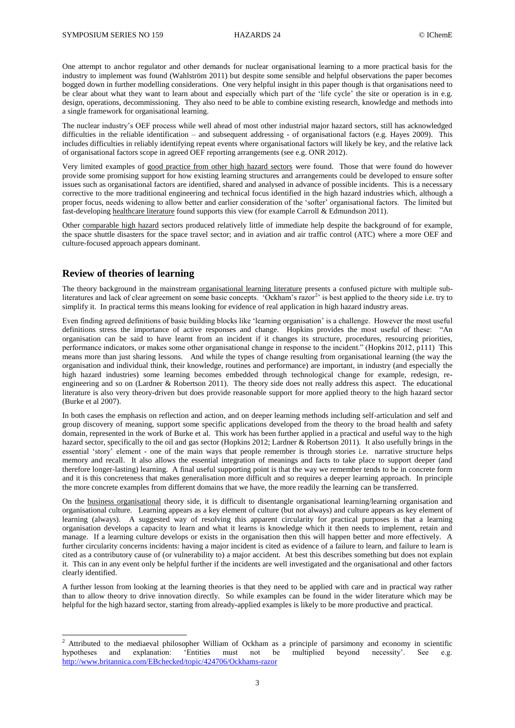One attempt to anchor regulator and other demands for nuclear organisational learning to a more practical basis for the industry to implement was found (Wahlström 2011) but despite some sensible and helpful observations the paper becomes bogged down in further modelling considerations. One very helpful insight in this paper though is that organisations need to be clear about what they want to learn about and especially which part of the 'life cycle' the site or operation is in e.g. design, operations, decommissioning. They also need to be able to combine existing research, knowledge and methods into a single framework for organisational learning.

The nuclear industry's OEF process while well ahead of most other industrial major hazard sectors, still has acknowledged difficulties in the reliable identification – and subsequent addressing - of organisational factors (e.g. Hayes 2009). This includes difficulties in reliably identifying repeat events where organisational factors will likely be key, and the relative lack of organisational factors scope in agreed OEF reporting arrangements (see e.g. ONR 2012).

Very limited examples of good practice from other high hazard sectors were found. Those that were found do however provide some promising support for how existing learning structures and arrangements could be developed to ensure softer issues such as organisational factors are identified, shared and analysed in advance of possible incidents. This is a necessary corrective to the more traditional engineering and technical focus identified in the high hazard industries which, although a proper focus, needs widening to allow better and earlier consideration of the 'softer' organisational factors. The limited but fast-developing healthcare literature found supports this view (for example Carroll & Edmundson 2011).

Other comparable high hazard sectors produced relatively little of immediate help despite the background of for example, the space shuttle disasters for the space travel sector; and in aviation and air traffic control (ATC) where a more OEF and culture-focused approach appears dominant.

## **Review of theories of learning**

1

The theory background in the mainstream organisational learning literature presents a confused picture with multiple subliteratures and lack of clear agreement on some basic concepts. 'Ockham's razor<sup>2</sup>' is best applied to the theory side i.e. try to simplify it. In practical terms this means looking for evidence of real application in high hazard industry areas.

Even finding agreed definitions of basic building blocks like 'learning organisation' is a challenge. However the most useful definitions stress the importance of active responses and change. Hopkins provides the most useful of these: "An organisation can be said to have learnt from an incident if it changes its structure, procedures, resourcing priorities, performance indicators, or makes some other organisational change in response to the incident." (Hopkins 2012, p111) This means more than just sharing lessons. And while the types of change resulting from organisational learning (the way the organisation and individual think, their knowledge, routines and performance) are important, in industry (and especially the high hazard industries) some learning becomes embedded through technological change for example, redesign, reengineering and so on (Lardner & Robertson 2011). The theory side does not really address this aspect. The educational literature is also very theory-driven but does provide reasonable support for more applied theory to the high hazard sector (Burke et al 2007).

In both cases the emphasis on reflection and action, and on deeper learning methods including self-articulation and self and group discovery of meaning, support some specific applications developed from the theory to the broad health and safety domain, represented in the work of Burke et al. This work has been further applied in a practical and useful way to the high hazard sector, specifically to the oil and gas sector (Hopkins 2012; Lardner & Robertson 2011). It also usefully brings in the essential 'story' element - one of the main ways that people remember is through stories i.e. narrative structure helps memory and recall. It also allows the essential integration of meanings and facts to take place to support deeper (and therefore longer-lasting) learning. A final useful supporting point is that the way we remember tends to be in concrete form and it is this concreteness that makes generalisation more difficult and so requires a deeper learning approach. In principle the more concrete examples from different domains that we have, the more readily the learning can be transferred.

On the business organisational theory side, it is difficult to disentangle organisational learning/learning organisation and organisational culture. Learning appears as a key element of culture (but not always) and culture appears as key element of learning (always). A suggested way of resolving this apparent circularity for practical purposes is that a learning organisation develops a capacity to learn and what it learns is knowledge which it then needs to implement, retain and manage. If a learning culture develops or exists in the organisation then this will happen better and more effectively. A further circularity concerns incidents: having a major incident is cited as evidence of a failure to learn, and failure to learn is cited as a contributory cause of (or vulnerability to) a major accident. At best this describes something but does not explain it. This can in any event only be helpful further if the incidents are well investigated and the organisational and other factors clearly identified.

A further lesson from looking at the learning theories is that they need to be applied with care and in practical way rather than to allow theory to drive innovation directly. So while examples can be found in the wider literature which may be helpful for the high hazard sector, starting from already-applied examples is likely to be more productive and practical.

 $2$  Attributed to the mediaeval philosopher William of Ockham as a principle of parsimony and economy in scientific hypotheses and explanation: 'Entities must not be multiplied beyond necessity'. See e.g. <http://www.britannica.com/EBchecked/topic/424706/Ockhams-razor>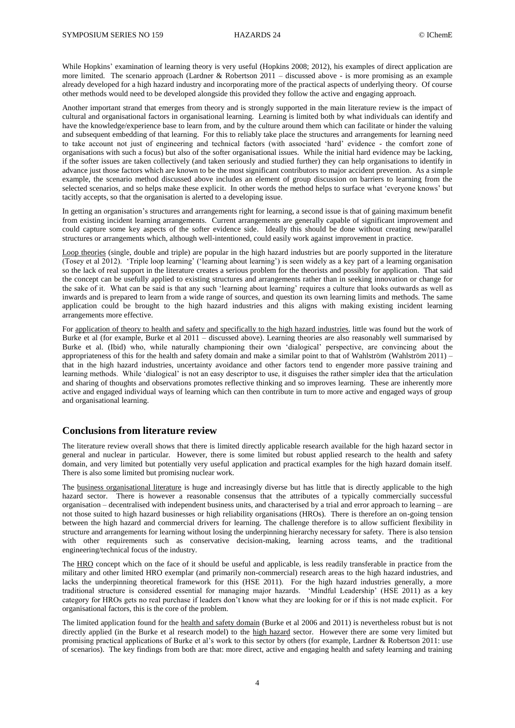While Hopkins' examination of learning theory is very useful (Hopkins 2008; 2012), his examples of direct application are more limited. The scenario approach (Lardner & Robertson 2011 – discussed above - is more promising as an example already developed for a high hazard industry and incorporating more of the practical aspects of underlying theory. Of course other methods would need to be developed alongside this provided they follow the active and engaging approach.

Another important strand that emerges from theory and is strongly supported in the main literature review is the impact of cultural and organisational factors in organisational learning. Learning is limited both by what individuals can identify and have the knowledge/experience base to learn from, and by the culture around them which can facilitate or hinder the valuing and subsequent embedding of that learning. For this to reliably take place the structures and arrangements for learning need to take account not just of engineering and technical factors (with associated 'hard' evidence - the comfort zone of organisations with such a focus) but also of the softer organisational issues. While the initial hard evidence may be lacking, if the softer issues are taken collectively (and taken seriously and studied further) they can help organisations to identify in advance just those factors which are known to be the most significant contributors to major accident prevention. As a simple example, the scenario method discussed above includes an element of group discussion on barriers to learning from the selected scenarios, and so helps make these explicit. In other words the method helps to surface what 'everyone knows' but tacitly accepts, so that the organisation is alerted to a developing issue.

In getting an organisation's structures and arrangements right for learning, a second issue is that of gaining maximum benefit from existing incident learning arrangements. Current arrangements are generally capable of significant improvement and could capture some key aspects of the softer evidence side. Ideally this should be done without creating new/parallel structures or arrangements which, although well-intentioned, could easily work against improvement in practice.

Loop theories (single, double and triple) are popular in the high hazard industries but are poorly supported in the literature (Tosey et al 2012). 'Triple loop learning' ('learning about learning') is seen widely as a key part of a learning organisation so the lack of real support in the literature creates a serious problem for the theorists and possibly for application. That said the concept can be usefully applied to existing structures and arrangements rather than in seeking innovation or change for the sake of it. What can be said is that any such 'learning about learning' requires a culture that looks outwards as well as inwards and is prepared to learn from a wide range of sources, and question its own learning limits and methods. The same application could be brought to the high hazard industries and this aligns with making existing incident learning arrangements more effective.

For application of theory to health and safety and specifically to the high hazard industries, little was found but the work of Burke et al (for example, Burke et al 2011 – discussed above). Learning theories are also reasonably well summarised by Burke et al. (Ibid) who, while naturally championing their own 'dialogical' perspective, are convincing about the appropriateness of this for the health and safety domain and make a similar point to that of Wahlström (Wahlström 2011) – that in the high hazard industries, uncertainty avoidance and other factors tend to engender more passive training and learning methods. While 'dialogical' is not an easy descriptor to use, it disguises the rather simpler idea that the articulation and sharing of thoughts and observations promotes reflective thinking and so improves learning. These are inherently more active and engaged individual ways of learning which can then contribute in turn to more active and engaged ways of group and organisational learning.

#### **Conclusions from literature review**

The literature review overall shows that there is limited directly applicable research available for the high hazard sector in general and nuclear in particular. However, there is some limited but robust applied research to the health and safety domain, and very limited but potentially very useful application and practical examples for the high hazard domain itself. There is also some limited but promising nuclear work.

The business organisational literature is huge and increasingly diverse but has little that is directly applicable to the high hazard sector. There is however a reasonable consensus that the attributes of a typically commercially successful organisation – decentralised with independent business units, and characterised by a trial and error approach to learning – are not those suited to high hazard businesses or high reliability organisations (HROs). There is therefore an on-going tension between the high hazard and commercial drivers for learning. The challenge therefore is to allow sufficient flexibility in structure and arrangements for learning without losing the underpinning hierarchy necessary for safety. There is also tension with other requirements such as conservative decision-making, learning across teams, and the traditional engineering/technical focus of the industry.

The HRO concept which on the face of it should be useful and applicable, is less readily transferable in practice from the military and other limited HRO exemplar (and primarily non-commercial) research areas to the high hazard industries, and lacks the underpinning theoretical framework for this (HSE 2011). For the high hazard industries generally, a more traditional structure is considered essential for managing major hazards. 'Mindful Leadership' (HSE 2011) as a key category for HROs gets no real purchase if leaders don't know what they are looking for or if this is not made explicit. For organisational factors, this is the core of the problem.

The limited application found for the health and safety domain (Burke et al 2006 and 2011) is nevertheless robust but is not directly applied (in the Burke et al research model) to the high hazard sector. However there are some very limited but promising practical applications of Burke et al's work to this sector by others (for example, Lardner & Robertson 2011: use of scenarios). The key findings from both are that: more direct, active and engaging health and safety learning and training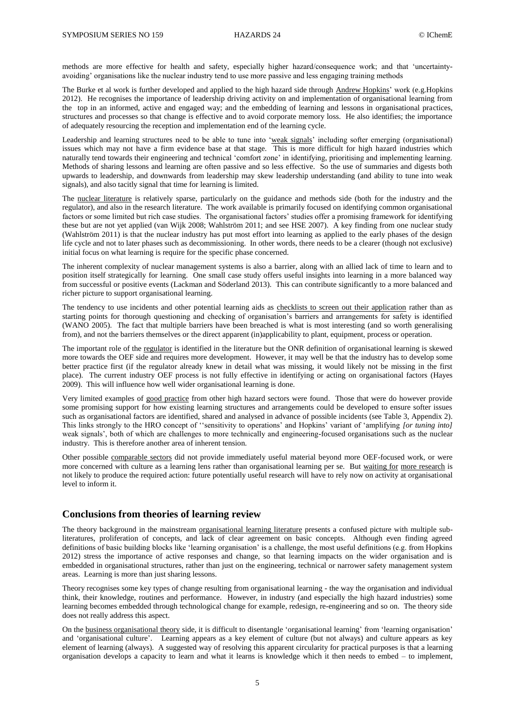methods are more effective for health and safety, especially higher hazard/consequence work; and that 'uncertaintyavoiding' organisations like the nuclear industry tend to use more passive and less engaging training methods

The Burke et al work is further developed and applied to the high hazard side through Andrew Hopkins' work (e.g.Hopkins 2012). He recognises the importance of leadership driving activity on and implementation of organisational learning from the top in an informed, active and engaged way; and the embedding of learning and lessons in organisational practices, structures and processes so that change is effective and to avoid corporate memory loss. He also identifies; the importance of adequately resourcing the reception and implementation end of the learning cycle.

Leadership and learning structures need to be able to tune into 'weak signals' including softer emerging (organisational) issues which may not have a firm evidence base at that stage. This is more difficult for high hazard industries which naturally tend towards their engineering and technical 'comfort zone' in identifying, prioritising and implementing learning. Methods of sharing lessons and learning are often passive and so less effective. So the use of summaries and digests both upwards to leadership, and downwards from leadership may skew leadership understanding (and ability to tune into weak signals), and also tacitly signal that time for learning is limited.

The nuclear literature is relatively sparse, particularly on the guidance and methods side (both for the industry and the regulator), and also in the research literature. The work available is primarily focused on identifying common organisational factors or some limited but rich case studies. The organisational factors' studies offer a promising framework for identifying these but are not yet applied (van Wijk 2008; Wahlström 2011; and see HSE 2007). A key finding from one nuclear study (Wahlström 2011) is that the nuclear industry has put most effort into learning as applied to the early phases of the design life cycle and not to later phases such as decommissioning. In other words, there needs to be a clearer (though not exclusive) initial focus on what learning is require for the specific phase concerned.

The inherent complexity of nuclear management systems is also a barrier, along with an allied lack of time to learn and to position itself strategically for learning. One small case study offers useful insights into learning in a more balanced way from successful or positive events (Lackman and Söderland 2013). This can contribute significantly to a more balanced and richer picture to support organisational learning.

The tendency to use incidents and other potential learning aids as checklists to screen out their application rather than as starting points for thorough questioning and checking of organisation's barriers and arrangements for safety is identified (WANO 2005). The fact that multiple barriers have been breached is what is most interesting (and so worth generalising from), and not the barriers themselves or the direct apparent (in)applicability to plant, equipment, process or operation.

The important role of the regulator is identified in the literature but the ONR definition of organisational learning is skewed more towards the OEF side and requires more development. However, it may well be that the industry has to develop some better practice first (if the regulator already knew in detail what was missing, it would likely not be missing in the first place). The current industry OEF process is not fully effective in identifying or acting on organisational factors (Hayes 2009). This will influence how well wider organisational learning is done.

Very limited examples of good practice from other high hazard sectors were found. Those that were do however provide some promising support for how existing learning structures and arrangements could be developed to ensure softer issues such as organisational factors are identified, shared and analysed in advance of possible incidents (see Table 3, Appendix 2). This links strongly to the HRO concept of ''sensitivity to operations' and Hopkins' variant of 'amplifying *[or tuning into]* weak signals', both of which are challenges to more technically and engineering-focused organisations such as the nuclear industry. This is therefore another area of inherent tension.

Other possible comparable sectors did not provide immediately useful material beyond more OEF-focused work, or were more concerned with culture as a learning lens rather than organisational learning per se. But waiting for more research is not likely to produce the required action: future potentially useful research will have to rely now on activity at organisational level to inform it.

#### **Conclusions from theories of learning review**

The theory background in the mainstream organisational learning literature presents a confused picture with multiple subliteratures, proliferation of concepts, and lack of clear agreement on basic concepts. Although even finding agreed definitions of basic building blocks like 'learning organisation' is a challenge, the most useful definitions (e.g. from Hopkins 2012) stress the importance of active responses and change, so that learning impacts on the wider organisation and is embedded in organisational structures, rather than just on the engineering, technical or narrower safety management system areas. Learning is more than just sharing lessons.

Theory recognises some key types of change resulting from organisational learning - the way the organisation and individual think, their knowledge, routines and performance. However, in industry (and especially the high hazard industries) some learning becomes embedded through technological change for example, redesign, re-engineering and so on. The theory side does not really address this aspect.

On the business organisational theory side, it is difficult to disentangle 'organisational learning' from 'learning organisation' and 'organisational culture'. Learning appears as a key element of culture (but not always) and culture appears as key element of learning (always). A suggested way of resolving this apparent circularity for practical purposes is that a learning organisation develops a capacity to learn and what it learns is knowledge which it then needs to embed – to implement,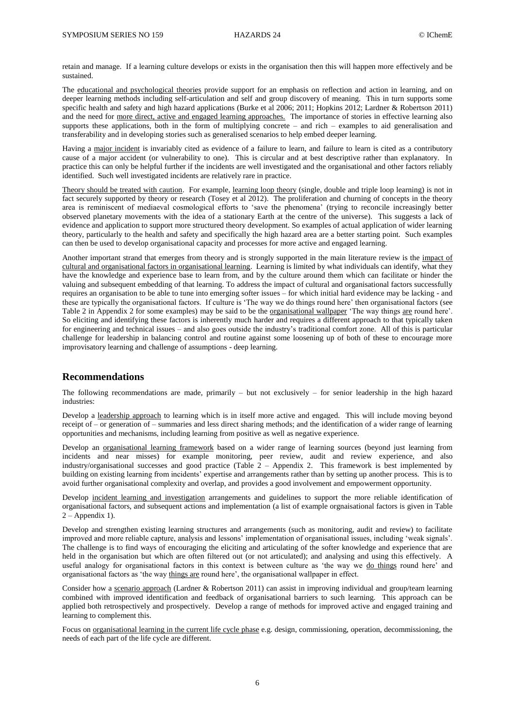retain and manage. If a learning culture develops or exists in the organisation then this will happen more effectively and be sustained.

The educational and psychological theories provide support for an emphasis on reflection and action in learning, and on deeper learning methods including self-articulation and self and group discovery of meaning. This in turn supports some specific health and safety and high hazard applications (Burke et al 2006; 2011; Hopkins 2012; Lardner & Robertson 2011) and the need for <u>more direct, active and engaged learning approaches.</u> The importance of stories in effective learning also supports these applications, both in the form of multiplying concrete – and rich – examples to aid generalisation and transferability and in developing stories such as generalised scenarios to help embed deeper learning.

Having a major incident is invariably cited as evidence of a failure to learn, and failure to learn is cited as a contributory cause of a major accident (or vulnerability to one). This is circular and at best descriptive rather than explanatory. In practice this can only be helpful further if the incidents are well investigated and the organisational and other factors reliably identified. Such well investigated incidents are relatively rare in practice.

Theory should be treated with caution. For example, learning loop theory (single, double and triple loop learning) is not in fact securely supported by theory or research (Tosey et al 2012). The proliferation and churning of concepts in the theory area is reminiscent of mediaeval cosmological efforts to 'save the phenomena' (trying to reconcile increasingly better observed planetary movements with the idea of a stationary Earth at the centre of the universe). This suggests a lack of evidence and application to support more structured theory development. So examples of actual application of wider learning theory, particularly to the health and safety and specifically the high hazard area are a better starting point. Such examples can then be used to develop organisational capacity and processes for more active and engaged learning.

Another important strand that emerges from theory and is strongly supported in the main literature review is the impact of cultural and organisational factors in organisational learning. Learning is limited by what individuals can identify, what they have the knowledge and experience base to learn from, and by the culture around them which can facilitate or hinder the valuing and subsequent embedding of that learning. To address the impact of cultural and organisational factors successfully requires an organisation to be able to tune into emerging softer issues – for which initial hard evidence may be lacking - and these are typically the organisational factors. If culture is 'The way we do things round here' then organisational factors (see Table 2 in Appendix 2 for some examples) may be said to be the organisational wallpaper 'The way things are round here'. So eliciting and identifying these factors is inherently much harder and requires a different approach to that typically taken for engineering and technical issues – and also goes outside the industry's traditional comfort zone. All of this is particular challenge for leadership in balancing control and routine against some loosening up of both of these to encourage more improvisatory learning and challenge of assumptions - deep learning.

#### **Recommendations**

The following recommendations are made, primarily – but not exclusively – for senior leadership in the high hazard industries:

Develop a leadership approach to learning which is in itself more active and engaged. This will include moving beyond receipt of – or generation of – summaries and less direct sharing methods; and the identification of a wider range of learning opportunities and mechanisms, including learning from positive as well as negative experience.

Develop an organisational learning framework based on a wider range of learning sources (beyond just learning from incidents and near misses) for example monitoring, peer review, audit and review experience, and also industry/organisational successes and good practice (Table 2 – Appendix 2. This framework is best implemented by building on existing learning from incidents' expertise and arrangements rather than by setting up another process. This is to avoid further organisational complexity and overlap, and provides a good involvement and empowerment opportunity.

Develop incident learning and investigation arrangements and guidelines to support the more reliable identification of organisational factors, and subsequent actions and implementation (a list of example orgnaisational factors is given in Table  $2 - Appendix 1$ .

Develop and strengthen existing learning structures and arrangements (such as monitoring, audit and review) to facilitate improved and more reliable capture, analysis and lessons' implementation of organisational issues, including 'weak signals'. The challenge is to find ways of encouraging the eliciting and articulating of the softer knowledge and experience that are held in the organisation but which are often filtered out (or not articulated); and analysing and using this effectively. A useful analogy for organisational factors in this context is between culture as 'the way we do things round here' and organisational factors as 'the way things are round here', the organisational wallpaper in effect.

Consider how a scenario approach (Lardner & Robertson 2011) can assist in improving individual and group/team learning combined with improved identification and feedback of organisational barriers to such learning. This approach can be applied both retrospectively and prospectively. Develop a range of methods for improved active and engaged training and learning to complement this.

Focus on <u>organisational learning in the current life cycle phase</u> e.g. design, commissioning, operation, decommissioning, the needs of each part of the life cycle are different.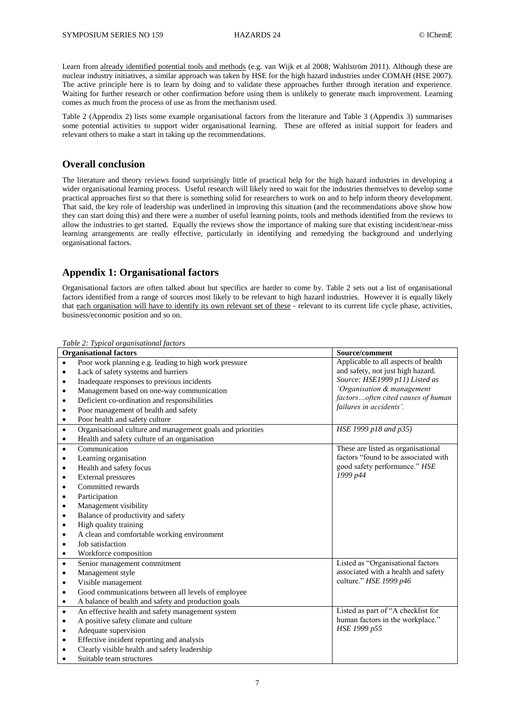Learn from already identified potential tools and methods (e.g. van Wijk et al 2008; Wahlström 2011). Although these are nuclear industry initiatives, a similar approach was taken by HSE for the high hazard industries under COMAH (HSE 2007). The active principle here is to learn by doing and to validate these approaches further through iteration and experience. Waiting for further research or other confirmation before using them is unlikely to generate much improvement. Learning comes as much from the process of use as from the mechanism used.

Table 2 (Appendix 2) lists some example organisational factors from the literature and Table 3 (Appendix 3) summarises some potential activities to support wider organisational learning. These are offered as initial support for leaders and relevant others to make a start in taking up the recommendations.

#### **Overall conclusion**

The literature and theory reviews found surprisingly little of practical help for the high hazard industries in developing a wider organisational learning process. Useful research will likely need to wait for the industries themselves to develop some practical approaches first so that there is something solid for researchers to work on and to help inform theory development. That said, the key role of leadership was underlined in improving this situation (and the recommendations above show how they can start doing this) and there were a number of useful learning points, tools and methods identified from the reviews to allow the industries to get started. Equally the reviews show the importance of making sure that existing incident/near-miss learning arrangements are really effective, particularly in identifying and remedying the background and underlying organisational factors.

## **Appendix 1: Organisational factors**

Organisational factors are often talked about but specifics are harder to come by. Table 2 sets out a list of organisational factors identified from a range of sources most likely to be relevant to high hazard industries. However it is equally likely that each organisation will have to identify its own relevant set of these - relevant to its current life cycle phase, activities, business/economic position and so on.

|                               | raole 2. 1 jpical of gallisational jaclors                 |                                      |
|-------------------------------|------------------------------------------------------------|--------------------------------------|
| <b>Organisational factors</b> |                                                            | Source/comment                       |
| $\bullet$                     | Poor work planning e.g. leading to high work pressure      | Applicable to all aspects of health  |
| $\bullet$                     | Lack of safety systems and barriers                        | and safety, not just high hazard.    |
| $\bullet$                     | Inadequate responses to previous incidents                 | Source: HSE1999 p11) Listed as       |
| $\bullet$                     | Management based on one-way communication                  | 'Organisation & management           |
| $\bullet$                     | Deficient co-ordination and responsibilities               | factorsoften cited causes of human   |
| $\bullet$                     | Poor management of health and safety                       | failures in accidents'.              |
| $\bullet$                     | Poor health and safety culture                             |                                      |
| $\bullet$                     | Organisational culture and management goals and priorities | HSE 1999 p18 and p35)                |
| $\bullet$                     | Health and safety culture of an organisation               |                                      |
| $\bullet$                     | Communication                                              | These are listed as organisational   |
| $\bullet$                     | Learning organisation                                      | factors "found to be associated with |
| $\bullet$                     | Health and safety focus                                    | good safety performance." HSE        |
| $\bullet$                     | External pressures                                         | 1999 p44                             |
| ٠                             | Committed rewards                                          |                                      |
| $\bullet$                     | Participation                                              |                                      |
| $\bullet$                     | Management visibility                                      |                                      |
| $\bullet$                     | Balance of productivity and safety                         |                                      |
| $\bullet$                     | High quality training                                      |                                      |
| $\bullet$                     | A clean and comfortable working environment                |                                      |
| ٠                             | Job satisfaction                                           |                                      |
| ٠                             | Workforce composition                                      |                                      |
| $\bullet$                     | Senior management commitment                               | Listed as "Organisational factors    |
| $\bullet$                     | Management style                                           | associated with a health and safety  |
| ٠                             | Visible management                                         | culture." HSE 1999 p46               |
| $\bullet$                     | Good communications between all levels of employee         |                                      |
| $\bullet$                     | A balance of health and safety and production goals        |                                      |
| $\bullet$                     | An effective health and safety management system           | Listed as part of "A checklist for   |
| $\bullet$                     | A positive safety climate and culture                      | human factors in the workplace."     |
| $\bullet$                     | Adequate supervision                                       | HSE 1999 p55                         |
| ٠                             | Effective incident reporting and analysis                  |                                      |
| $\bullet$                     | Clearly visible health and safety leadership               |                                      |
|                               | Suitable team structures                                   |                                      |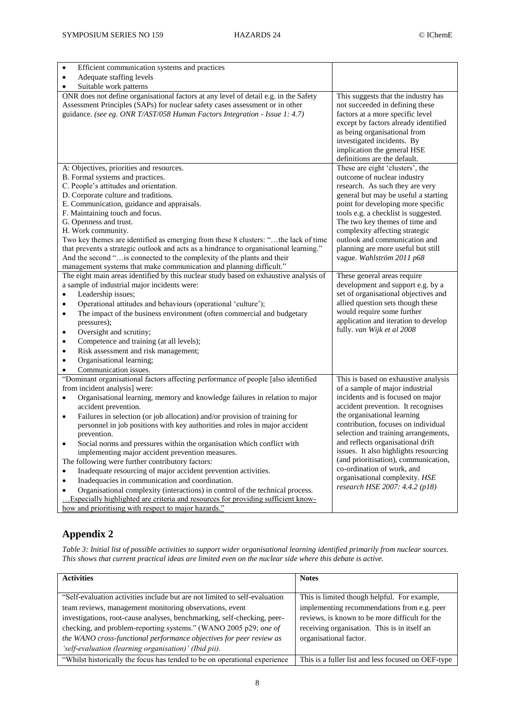| $\bullet$<br>Efficient communication systems and practices                                                                               |                                                                            |
|------------------------------------------------------------------------------------------------------------------------------------------|----------------------------------------------------------------------------|
| Adequate staffing levels<br>$\bullet$                                                                                                    |                                                                            |
| Suitable work patterns<br>$\bullet$                                                                                                      |                                                                            |
| ONR does not define organisational factors at any level of detail e.g. in the Safety                                                     | This suggests that the industry has                                        |
| Assessment Principles (SAPs) for nuclear safety cases assessment or in other                                                             | not succeeded in defining these                                            |
| guidance. (see eg. ONR T/AST/058 Human Factors Integration - Issue 1: 4.7)                                                               | factors at a more specific level                                           |
|                                                                                                                                          | except by factors already identified                                       |
|                                                                                                                                          | as being organisational from                                               |
|                                                                                                                                          | investigated incidents. By                                                 |
|                                                                                                                                          | implication the general HSE                                                |
|                                                                                                                                          | definitions are the default.                                               |
| A: Objectives, priorities and resources.                                                                                                 | These are eight 'clusters', the                                            |
| B. Formal systems and practices.                                                                                                         | outcome of nuclear industry                                                |
| C. People's attitudes and orientation.                                                                                                   | research. As such they are very                                            |
| D. Corporate culture and traditions.<br>E. Communication, guidance and appraisals.                                                       | general but may be useful a starting<br>point for developing more specific |
| F. Maintaining touch and focus.                                                                                                          | tools e.g. a checklist is suggested.                                       |
| G. Openness and trust.                                                                                                                   | The two key themes of time and                                             |
| H. Work community.                                                                                                                       | complexity affecting strategic                                             |
| Two key themes are identified as emerging from these 8 clusters: "the lack of time                                                       | outlook and communication and                                              |
| that prevents a strategic outlook and acts as a hindrance to organisational learning."                                                   | planning are more useful but still                                         |
| And the second " is connected to the complexity of the plants and their                                                                  | vague. Wahlström 2011 p68                                                  |
| management systems that make communication and planning difficult."                                                                      |                                                                            |
| The eight main areas identified by this nuclear study based on exhaustive analysis of                                                    | These general areas require                                                |
| a sample of industrial major incidents were:                                                                                             | development and support e.g. by a                                          |
| Leadership issues;<br>$\bullet$                                                                                                          | set of organisational objectives and                                       |
| Operational attitudes and behaviours (operational 'culture');<br>$\bullet$                                                               | allied question sets though these                                          |
| The impact of the business environment (often commercial and budgetary<br>$\bullet$                                                      | would require some further                                                 |
| pressures);                                                                                                                              | application and iteration to develop                                       |
| Oversight and scrutiny;<br>$\bullet$                                                                                                     | fully. van Wijk et al 2008                                                 |
| Competence and training (at all levels);<br>$\bullet$                                                                                    |                                                                            |
| Risk assessment and risk management;<br>$\bullet$                                                                                        |                                                                            |
| Organisational learning;<br>$\bullet$                                                                                                    |                                                                            |
| Communication issues.<br>$\bullet$                                                                                                       |                                                                            |
| "Dominant organisational factors affecting performance of people [also identified                                                        | This is based on exhaustive analysis                                       |
| from incident analysis] were:                                                                                                            | of a sample of major industrial                                            |
| Organisational learning, memory and knowledge failures in relation to major<br>$\bullet$                                                 | incidents and is focused on major                                          |
| accident prevention.                                                                                                                     | accident prevention. It recognises                                         |
| Failures in selection (or job allocation) and/or provision of training for<br>$\bullet$                                                  | the organisational learning                                                |
| personnel in job positions with key authorities and roles in major accident                                                              | contribution, focuses on individual                                        |
| prevention.                                                                                                                              | selection and training arrangements,                                       |
| Social norms and pressures within the organisation which conflict with<br>$\bullet$                                                      | and reflects organisational drift<br>issues. It also highlights resourcing |
| implementing major accident prevention measures.                                                                                         | (and prioritisation), communication,                                       |
| The following were further contributory factors:                                                                                         | co-ordination of work, and                                                 |
| Inadequate resourcing of major accident prevention activities.<br>$\bullet$                                                              | organisational complexity. HSE                                             |
| Inadequacies in communication and coordination.<br>$\bullet$                                                                             | research HSE 2007: 4.4.2 (p18)                                             |
| Organisational complexity (interactions) in control of the technical process.                                                            |                                                                            |
| Especially highlighted are criteria and resources for providing sufficient know-<br>how and prioritising with respect to major hazards." |                                                                            |
|                                                                                                                                          |                                                                            |

## **Appendix 2**

*Table 3: Initial list of possible activities to support wider organisational learning identified primarily from nuclear sources. This shows that current practical ideas are limited even on the nuclear side where this debate is active.*

| <b>Activities</b>                                                           | <b>Notes</b>                                       |
|-----------------------------------------------------------------------------|----------------------------------------------------|
|                                                                             |                                                    |
| "Self-evaluation activities include but are not limited to self-evaluation" | This is limited though helpful. For example,       |
| team reviews, management monitoring observations, event                     | implementing recommendations from e.g. peer        |
| investigations, root-cause analyses, benchmarking, self-checking, peer-     | reviews, is known to be more difficult for the     |
| checking, and problem-reporting systems." (WANO 2005 p29; one of            | receiving organisation. This is in itself an       |
| the WANO cross-functional performance objectives for peer review as         | organisational factor.                             |
| 'self-evaluation (learning organisation)' (Ibid pii).                       |                                                    |
| "Whilst historically the focus has tended to be on operational experience   | This is a fuller list and less focused on OEF-type |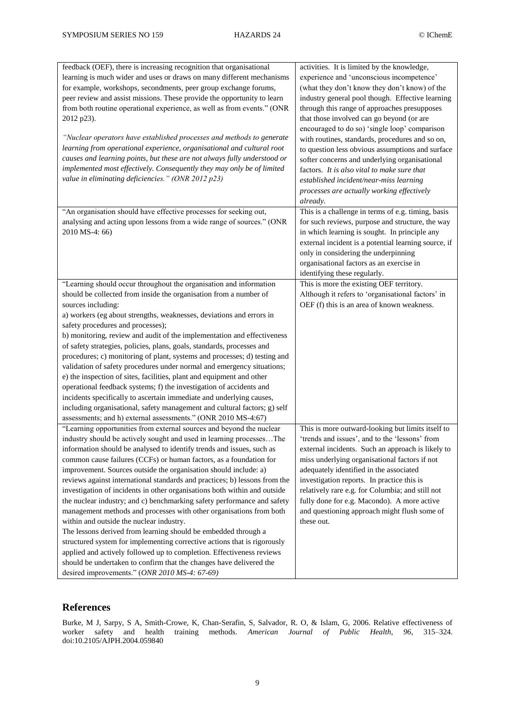| feedback (OEF), there is increasing recognition that organisational<br>learning is much wider and uses or draws on many different mechanisms<br>for example, workshops, secondments, peer group exchange forums,<br>peer review and assist missions. These provide the opportunity to learn<br>from both routine operational experience, as well as from events." (ONR<br>2012 p23).<br>"Nuclear operators have established processes and methods to generate<br>learning from operational experience, organisational and cultural root<br>causes and learning points, but these are not always fully understood or<br>implemented most effectively. Consequently they may only be of limited<br>value in eliminating deficiencies." (ONR 2012 p23)                                                                                                                                                                                                                                                                                                                     | activities. It is limited by the knowledge,<br>experience and 'unconscious incompetence'<br>(what they don't know they don't know) of the<br>industry general pool though. Effective learning<br>through this range of approaches presupposes<br>that those involved can go beyond (or are<br>encouraged to do so) 'single loop' comparison<br>with routines, standards, procedures and so on,<br>to question less obvious assumptions and surface<br>softer concerns and underlying organisational<br>factors. It is also vital to make sure that<br>established incident/near-miss learning<br>processes are actually working effectively<br>already. |
|-------------------------------------------------------------------------------------------------------------------------------------------------------------------------------------------------------------------------------------------------------------------------------------------------------------------------------------------------------------------------------------------------------------------------------------------------------------------------------------------------------------------------------------------------------------------------------------------------------------------------------------------------------------------------------------------------------------------------------------------------------------------------------------------------------------------------------------------------------------------------------------------------------------------------------------------------------------------------------------------------------------------------------------------------------------------------|---------------------------------------------------------------------------------------------------------------------------------------------------------------------------------------------------------------------------------------------------------------------------------------------------------------------------------------------------------------------------------------------------------------------------------------------------------------------------------------------------------------------------------------------------------------------------------------------------------------------------------------------------------|
| "An organisation should have effective processes for seeking out,<br>analysing and acting upon lessons from a wide range of sources." (ONR<br>2010 MS-4: 66)                                                                                                                                                                                                                                                                                                                                                                                                                                                                                                                                                                                                                                                                                                                                                                                                                                                                                                            | This is a challenge in terms of e.g. timing, basis<br>for such reviews, purpose and structure, the way<br>in which learning is sought. In principle any<br>external incident is a potential learning source, if<br>only in considering the underpinning<br>organisational factors as an exercise in<br>identifying these regularly.                                                                                                                                                                                                                                                                                                                     |
| "Learning should occur throughout the organisation and information<br>should be collected from inside the organisation from a number of<br>sources including:<br>a) workers (eg about strengths, weaknesses, deviations and errors in<br>safety procedures and processes);<br>b) monitoring, review and audit of the implementation and effectiveness<br>of safety strategies, policies, plans, goals, standards, processes and<br>procedures; c) monitoring of plant, systems and processes; d) testing and<br>validation of safety procedures under normal and emergency situations;<br>e) the inspection of sites, facilities, plant and equipment and other<br>operational feedback systems; f) the investigation of accidents and<br>incidents specifically to ascertain immediate and underlying causes,<br>including organisational, safety management and cultural factors; g) self<br>assessments; and h) external assessments." (ONR 2010 MS-4:67)                                                                                                            | This is more the existing OEF territory.<br>Although it refers to 'organisational factors' in<br>OEF (f) this is an area of known weakness.                                                                                                                                                                                                                                                                                                                                                                                                                                                                                                             |
| "Learning opportunities from external sources and beyond the nuclear<br>industry should be actively sought and used in learning processesThe<br>information should be analysed to identify trends and issues, such as<br>common cause failures (CCFs) or human factors, as a foundation for<br>improvement. Sources outside the organisation should include: a)<br>reviews against international standards and practices; b) lessons from the<br>investigation of incidents in other organisations both within and outside<br>the nuclear industry; and c) benchmarking safety performance and safety<br>management methods and processes with other organisations from both<br>within and outside the nuclear industry.<br>The lessons derived from learning should be embedded through a<br>structured system for implementing corrective actions that is rigorously<br>applied and actively followed up to completion. Effectiveness reviews<br>should be undertaken to confirm that the changes have delivered the<br>desired improvements." (ONR 2010 MS-4: 67-69) | This is more outward-looking but limits itself to<br>'trends and issues', and to the 'lessons' from<br>external incidents. Such an approach is likely to<br>miss underlying organisational factors if not<br>adequately identified in the associated<br>investigation reports. In practice this is<br>relatively rare e.g. for Columbia; and still not<br>fully done for e.g. Macondo). A more active<br>and questioning approach might flush some of<br>these out.                                                                                                                                                                                     |

## **References**

Burke, M J, Sarpy, S A, Smith-Crowe, K, Chan-Serafin, S, Salvador, R. O, & Islam, G, 2006. Relative effectiveness of worker safety and health training methods. *American Journal of Public Health, 96,* 315–324. doi:10.2105/AJPH.2004.059840